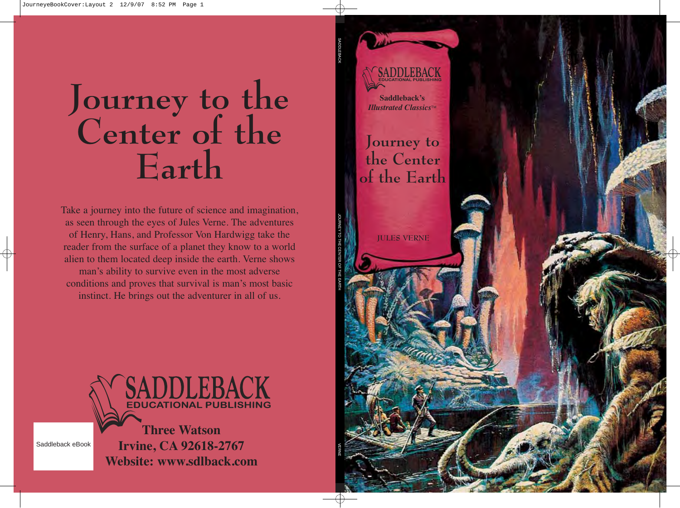**SADDLEBACK** 

**Saddleback's** *<i>Illustrated Classics***<sup>™</sup>** 

**Journey to the Center of the Earth**

**JULES VERNE**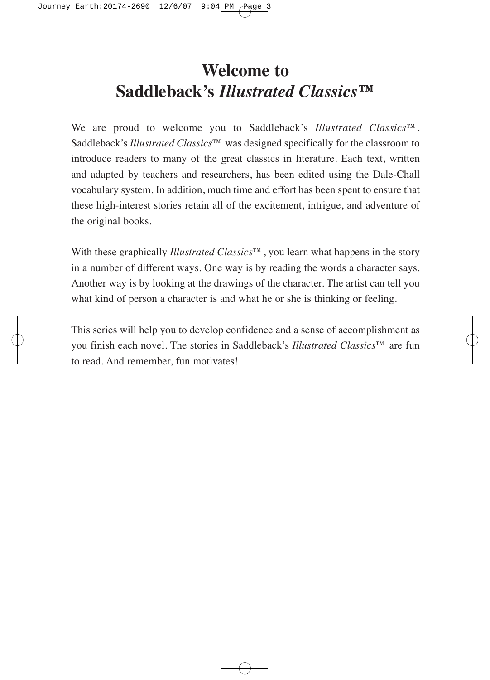### **Welcome to Saddleback's** *Illustrated Classics***™**

We are proud to welcome you to Saddleback's *Illustrated Classics*™. Saddleback's *Illustrated Classics*™ was designed specifically for the classroom to introduce readers to many of the great classics in literature. Each text, written and adapted by teachers and researchers, has been edited using the Dale-Chall vocabulary system. In addition, much time and effort has been spent to ensure that these high-interest stories retain all of the excitement, intrigue, and adventure of the original books.

With these graphically *Illustrated Classics*™, you learn what happens in the story in a number of different ways. One way is by reading the words a character says. Another way is by looking at the drawings of the character. The artist can tell you what kind of person a character is and what he or she is thinking or feeling.

This series will help you to develop confidence and a sense of accomplishment as you finish each novel. The stories in Saddleback's *Illustrated Classics*™ are fun to read. And remember, fun motivates!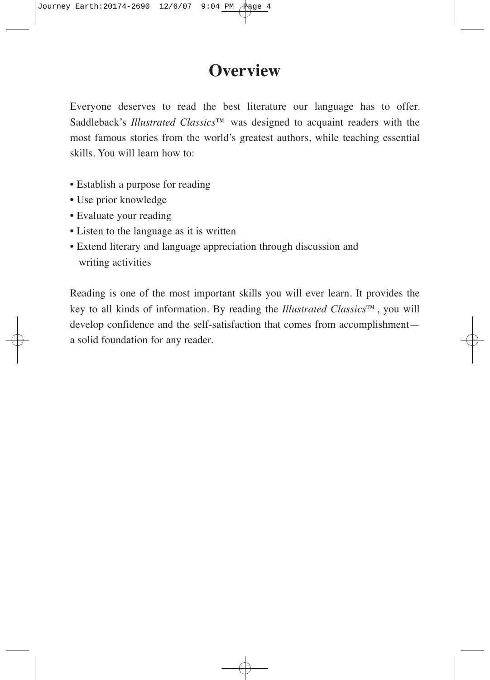#### **Overview**

Everyone deserves to read the best literature our language has to offer. Saddleback's *Illustrated Classics*™ was designed to acquaint readers with the most famous stories from the world's greatest authors, while teaching essential skills. You will learn how to:

- Establish a purpose for reading
- Use prior knowledge
- Evaluate your reading
- Listen to the language as it is written
- Extend literary and language appreciation through discussion and writing activities

Reading is one of the most important skills you will ever learn. It provides the key to all kinds of information. By reading the *Illustrated Classics*™, you will develop confidence and the self-satisfaction that comes from accomplishment a solid foundation for any reader.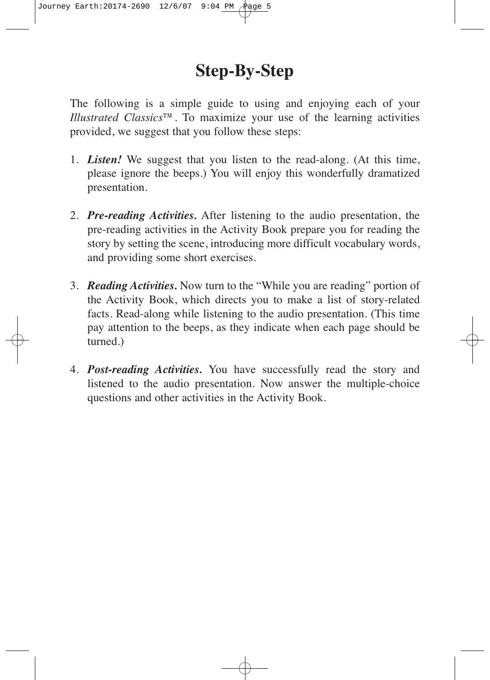#### **Step-By-Step**

The following is a simple guide to using and enjoying each of your *Illustrated Classics*™. To maximize your use of the learning activities provided, we suggest that you follow these steps:

- 1. *Listen!* We suggest that you listen to the read-along. (At this time, please ignore the beeps.) You will enjoy this wonderfully dramatized presentation.
- 2. *Pre-reading Activities.* After listening to the audio presentation, the pre-reading activities in the Activity Book prepare you for reading the story by setting the scene, introducing more difficult vocabulary words, and providing some short exercises.
- 3. *Reading Activities.* Now turn to the "While you are reading" portion of the Activity Book, which directs you to make a list of story-related facts. Read-along while listening to the audio presentation. (This time pay attention to the beeps, as they indicate when each page should be turned.)
- 4. *Post-reading Activities.* You have successfully read the story and listened to the audio presentation. Now answer the multiple-choice questions and other activities in the Activity Book.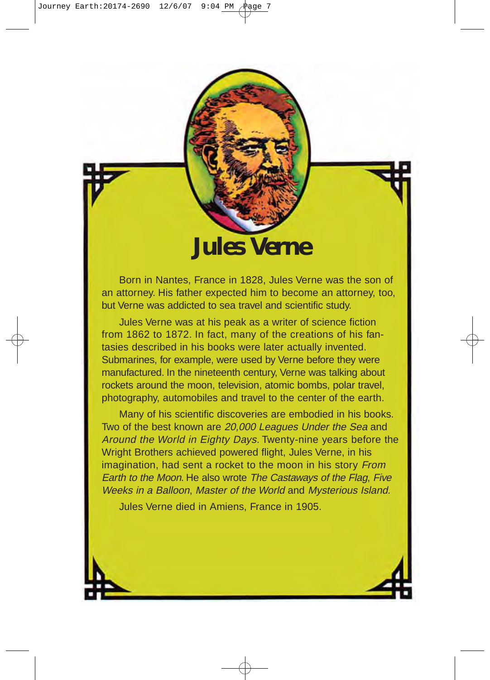## **Jules Verne**

Born in Nantes, France in 1828, Jules Verne was the son of an attorney. His father expected him to become an attorney, too, but Verne was addicted to sea travel and scientific study.

Jules Verne was at his peak as a writer of science fiction from 1862 to 1872. In fact, many of the creations of his fantasies described in his books were later actually invented. Submarines, for example, were used by Verne before they were manufactured. In the nineteenth century, Verne was talking about rockets around the moon, television, atomic bombs, polar travel, photography, automobiles and travel to the center of the earth.

Many of his scientific discoveries are embodied in his books. Two of the best known are 20,000 Leagues Under the Sea and Around the World in Eighty Days. Twenty-nine years before the Wright Brothers achieved powered flight, Jules Verne, in his imagination, had sent a rocket to the moon in his story From Earth to the Moon. He also wrote The Castaways of the Flag, Five Weeks in a Balloon, Master of the World and Mysterious Island.

Jules Verne died in Amiens, France in 1905.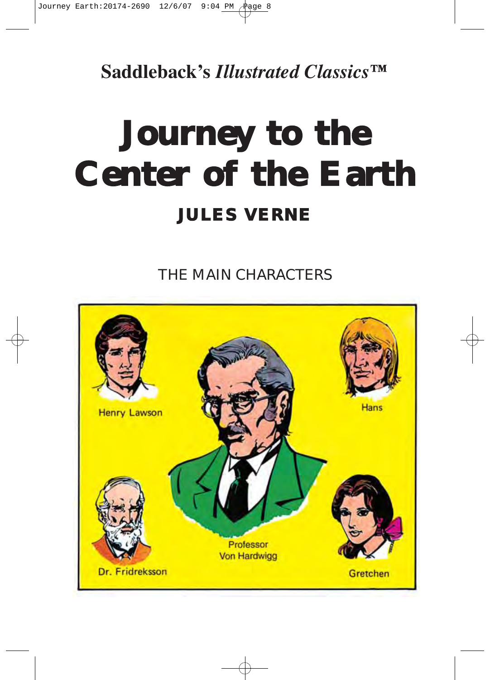**Saddleback's** *Illustrated Classics***™**

# **Journey to the Center of the Earth JULES VERNE**

THE MAIN CHARACTERS

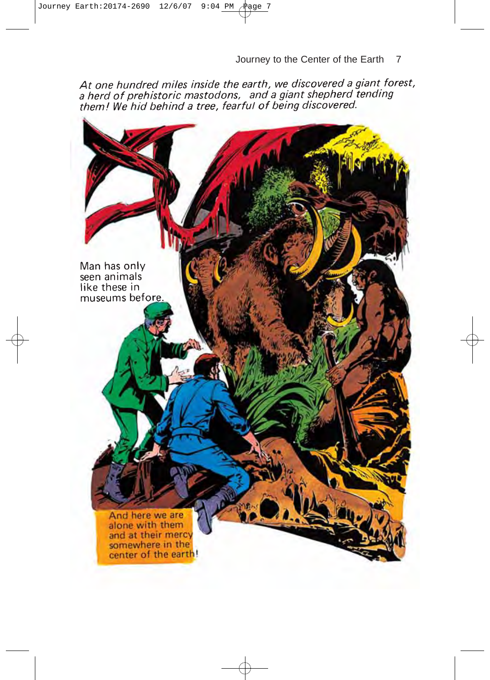At one hundred miles inside the earth, we discovered a giant forest,<br>a herd of prehistoric mastodons, and a giant shepherd tending<br>them! We hid behind a tree, fearful of being discovered.

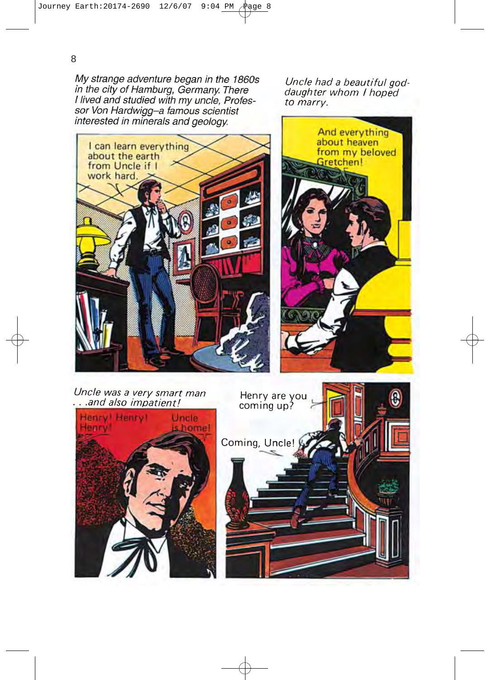My strange adventure began in the 1860s in the city of Hamburg, Germany. There<br>I lived and studied with my uncle, Professor Von Hardwigg-a famous scientist interested in minerals and geology.

Uncle had a beautiful goddaughter whom I hoped to marry.





Uncle was a very smart man ...and also impatient!



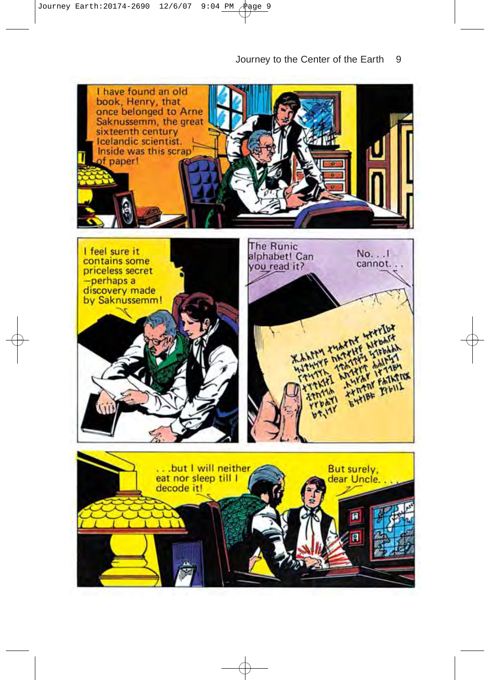